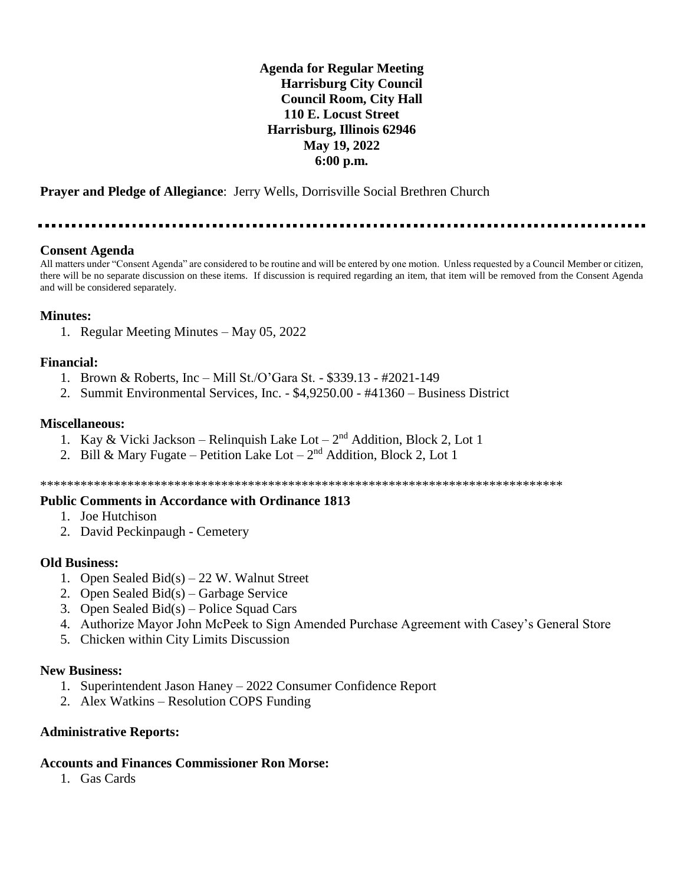**Agenda for Regular Meeting Harrisburg City Council Council Room, City Hall 110 E. Locust Street Harrisburg, Illinois 62946 May 19, 2022 6:00 p.m.**

**Prayer and Pledge of Allegiance**: Jerry Wells, Dorrisville Social Brethren Church

### **Consent Agenda**

All matters under "Consent Agenda" are considered to be routine and will be entered by one motion. Unless requested by a Council Member or citizen, there will be no separate discussion on these items. If discussion is required regarding an item, that item will be removed from the Consent Agenda and will be considered separately.

### **Minutes:**

1. Regular Meeting Minutes – May 05, 2022

### **Financial:**

- 1. Brown & Roberts, Inc Mill St./O'Gara St. \$339.13 #2021-149
- 2. Summit Environmental Services, Inc. \$4,9250.00 #41360 Business District

### **Miscellaneous:**

- 1. Kay & Vicki Jackson Relinquish Lake Lot  $2<sup>nd</sup>$  Addition, Block 2, Lot 1
- 2. Bill & Mary Fugate Petition Lake Lot  $2<sup>nd</sup>$  Addition, Block 2, Lot 1

\*\*\*\*\*\*\*\*\*\*\*\*\*\*\*\*\*\*\*\*\*\*\*\*\*\*\*\*\*\*\*\*\*\*\*\*\*\*\*\*\*\*\*\*\*\*\*\*\*\*\*\*\*\*\*\*\*\*\*\*\*\*\*\*\*\*\*\*\*\*\*\*\*\*\*\*\*\*

### **Public Comments in Accordance with Ordinance 1813**

- 1. Joe Hutchison
- 2. David Peckinpaugh Cemetery

### **Old Business:**

- 1. Open Sealed Bid(s) 22 W. Walnut Street
- 2. Open Sealed Bid(s) Garbage Service
- 3. Open Sealed  $Bid(s)$  Police Squad Cars
- 4. Authorize Mayor John McPeek to Sign Amended Purchase Agreement with Casey's General Store
- 5. Chicken within City Limits Discussion

### **New Business:**

- 1. Superintendent Jason Haney 2022 Consumer Confidence Report
- 2. Alex Watkins Resolution COPS Funding

### **Administrative Reports:**

### **Accounts and Finances Commissioner Ron Morse:**

1. Gas Cards